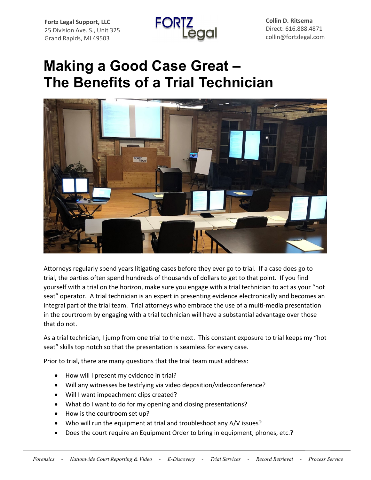**Fortz Legal Support, LLC** 25 Division Ave. S., Unit 325 Grand Rapids, MI 49503



**Collin D. Ritsema** Direct: 616.888.4871 collin@fortzlegal.com

## **Making a Good Case Great – The Benefits of a Trial Technician**



Attorneys regularly spend years litigating cases before they ever go to trial. If a case does go to trial, the parties often spend hundreds of thousands of dollars to get to that point. If you find yourself with a trial on the horizon, make sure you engage with a trial technician to act as your "hot seat" operator. A trial technician is an expert in presenting evidence electronically and becomes an integral part of the trial team. Trial attorneys who embrace the use of a multi-media presentation in the courtroom by engaging with a trial technician will have a substantial advantage over those that do not.

As a trial technician, I jump from one trial to the next. This constant exposure to trial keeps my "hot seat" skills top notch so that the presentation is seamless for every case.

Prior to trial, there are many questions that the trial team must address:

- How will I present my evidence in trial?
- Will any witnesses be testifying via video deposition/videoconference?
- Will I want impeachment clips created?
- What do I want to do for my opening and closing presentations?
- How is the courtroom set up?
- Who will run the equipment at trial and troubleshoot any A/V issues?
- Does the court require an Equipment Order to bring in equipment, phones, etc.?